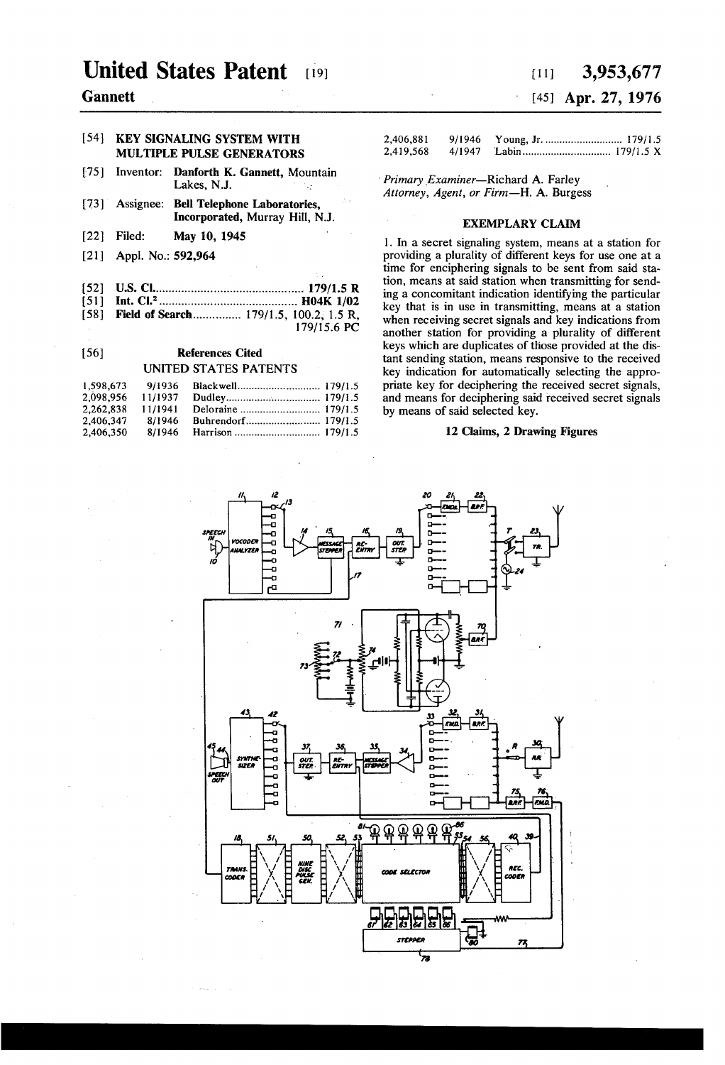## United States Patent [19] [11] 3,953,677

### Gannett [45] Apr. 27, 1976

## MULTIPLE PULSE GENERATORS

- [75] Inventor: Danforth K. Gannett, Mountain<br>Lakes, N.J.
- [73] Assignee: Bell Telephone Laboratories, Incorporated, Murray Hill, NJ.
- [22] Filed: May 10, 1945
- [21] Appl. No.: 592,964
- [52] US. Cl ............................................. .. l79/l.5 R
- [51] Int. Cl.2 ......................................... .. H04K 1/02 [58] Field of Search................ 179/1.5, 100.2, 1.5 R,
- 179/15.6 PC

### [56] References Cited UNITED STATES PATENTS

| 1,598,673 | 9/1936  |  |
|-----------|---------|--|
| 2.098.956 | 11/1937 |  |
| 2.262.838 | 11/1941 |  |
| 2.406.347 | 8/1946  |  |
| 2.406.350 | 8/1946  |  |

# [541 KEY SIGNALING SYSTEM WITH 2,406,881 9/1946 Young, Jr. ......................... .. 179/15

Primary Examiner-Richard A. Farley Attorney, Agent, or Firm-H. A. Burgess

### EXEMPLARY CLAIM

1. In a secret signaling system, means at a station for providing a plurality of different keys for use one at a time for enciphering signals to be sent from said station, means at said station when transmitting for send ing a concomitant indication identifying the particular key that is in use in transmitting, means at a station when receiving secret signals and key indications from another station for providing a plurality of different keys which are duplicates of those provided at the dis tant sending station, means responsive to the received key indication for automatically selecting the appro priate key for deciphering the received secret signals, and means for deciphering said received secret signals by means of said selected key.

### 12 Claims, 2 Drawing Figures

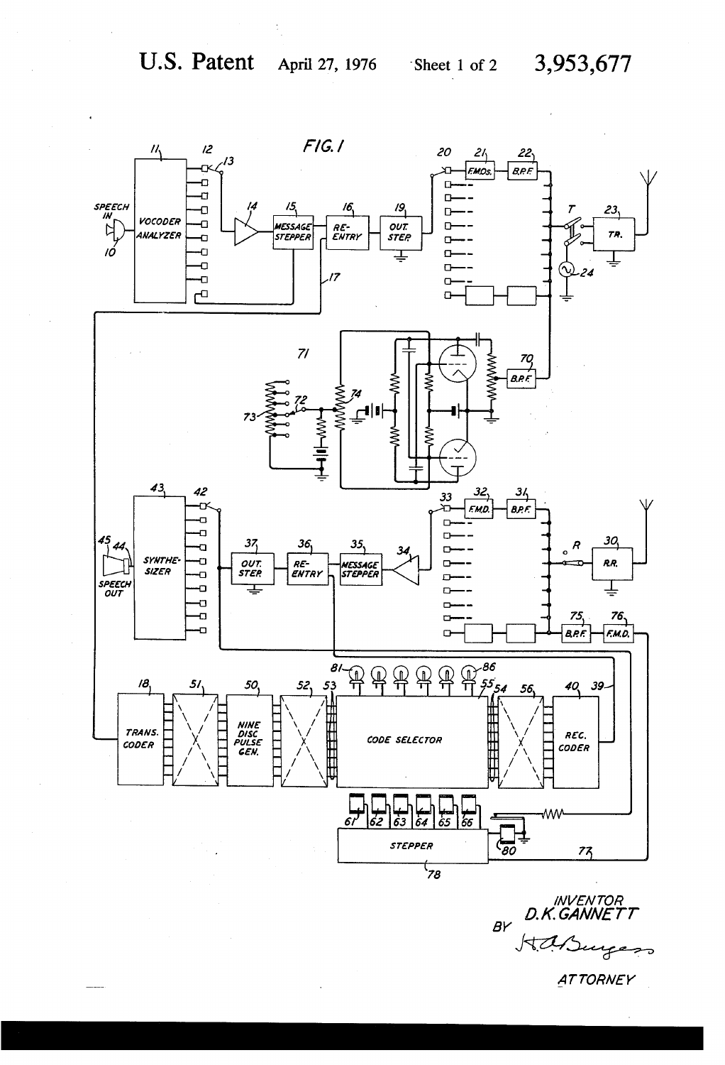

**INVENTOR** D.K.GAI  $BY$  $752$ 

**ATTORNEY**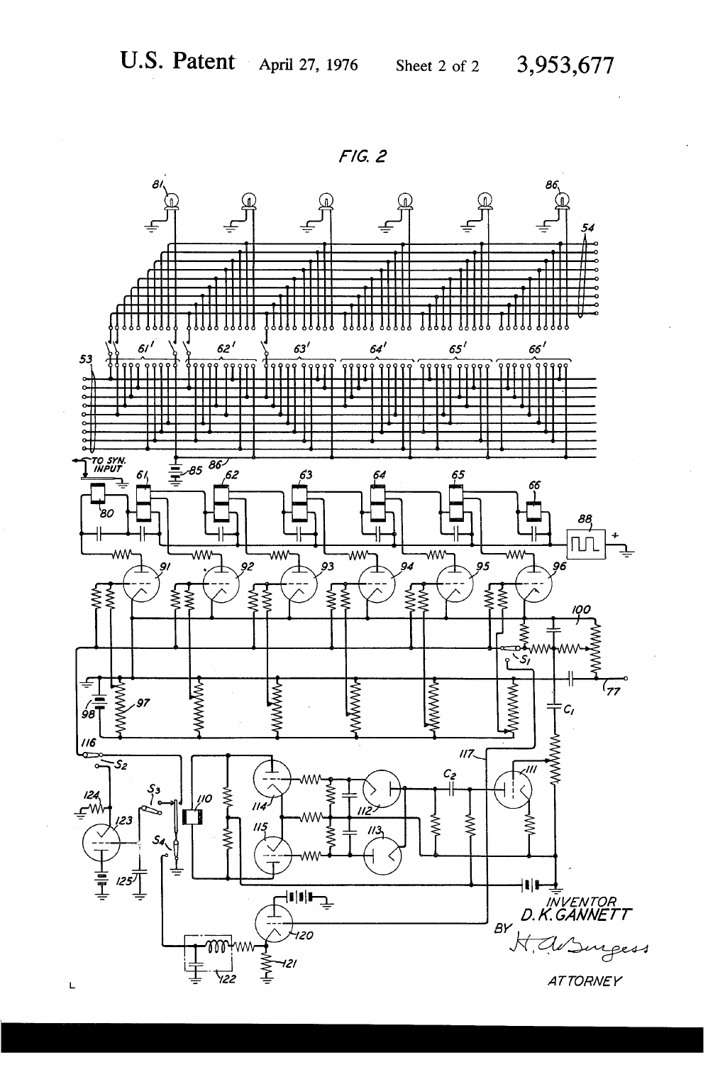

 $F/G. 2$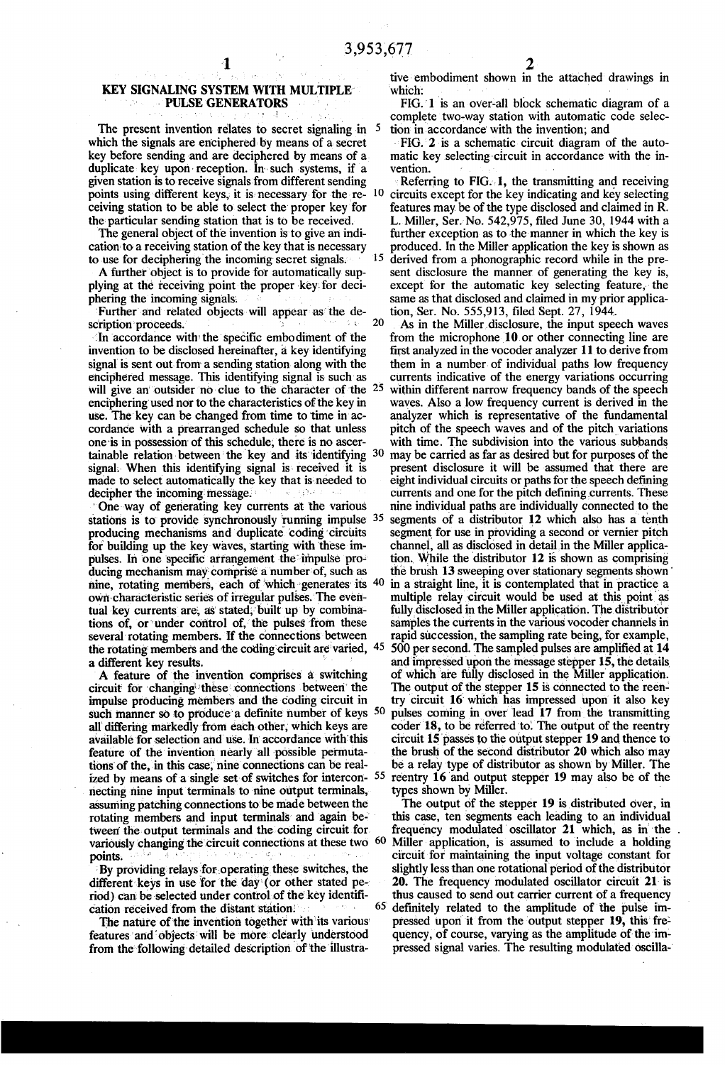# KEY SIGNALING SYSTEM WITH MULTIPLE<br>PULSE GENERATORS

The present invention relates to secret signaling in 5 which the signals are enciphered by means of a secret key before sending and are deciphered by means of a duplicate key upon reception. In such systems, if a given station is to receive signals from different sending points using different keys, it is necessary for the receiving station to be able to select the proper key for the particular sending station that is to be received.

The general object of the invention is to give an indi cation to a receiving station of the key' that is necessary to use for deciphering'the incoming secret signals.

A further object is to provide for automatically sup plying at the receiving point the proper key for deciphering the incoming signals.

Further and related objects will appear as the description proceeds.

In accordance with the specific embodiment of the invention to be disclosed hereinafter, a key identifying signal is sent out from a sending station along with the enciphered message. This identifying signal is such-as will give an outsider no clue to the character of the <sup>25</sup> enciphering used nor to the characteristics of the key in use. The key can be changed from time to time in accordance with a prearranged schedule so that unless one is in possession of this schedule, there is no ascertainable relation between the key and its identifying  $30$ signal. When this identifying signal is received it is made to select automatically the key that isneeded to decipher the incoming message.

One way of generating key currents at the various stations is to provide synchronously running impulse <sup>35</sup> producing mechanisms and duplicate coding circuits for building up the key waves, starting with these impulses. In one specific arrangement the impulse producing mechanism may comprise a number of, such as nine, rotating members, each of which generates its  $40$ own characteristic series of irregular pulses. The eventual key currents are, as stated, built up by combinations of, or under control of, the pulses from these several' rotating members. If the connections between the rotating members and the coding circuit are varied, 45 a different key results.

A feature of the invention comprises a switching circuit for changing these connections between the impulse producing members and the coding circuit in such manner so to produce a definite number of keys  $50$ all' differing markedly from each other, which keys are available for selection and use. In accordance with this feature of the invention nearly all possible permutations of the, in this case, nine connections can be realized by means of a single set of switches for intercon- <sup>55</sup> necting nine input terminals to nine output terminals, assuming patching connections to' be made between the rotating members and input terminals' and again be tween the output terminals and the coding circuit for. points.

By providing relays for operating these switches, the different keys in use for the day (or other stated period) can be selected under control of the key identification received from the distant station.

The nature of the invention together with its various features and objects will be more clearly understood from the following detailed description of the illustra-

tive'embodiment shown in the attached drawings in which:

FIG. 1 is an over-all block schematic diagram of a complete two-way station with automatic code selec tion in accordance' with the invention; and

FIG. 2 is a schematic circuit diagram of the automatic key selecting-circuit in accordance with the invention.

l0 15 derived from a phonographic record while in the pre Referring to FIG. 1, the transmitting and receiving circuits except for the key indicating and key selecting features may be of the type disclosed and claimed in R. L. Miller, Ser. No. 542,975, filed June 30, 1944 with a further exception as to the manner in which the key is produced. In the Miller application the key is shown as sent disclosure the manner of generating the key is, except for the automatic key selecting feature, the same as that disclosed and claimed in my prior applica tion, Ser. No. 555,913, filed Sept. 27, 1944.

20 As in the Miller disclosure, the input speech waves from the microphone 10 or other connecting line are first analyzed in the vocoder analyzer 11 to derive from them in a number of individual paths low frequency currents indicative of the energy variations occurring<br>within different narrow frequency bands of the speech waves. Also a low frequency current is derived in the analyzer which is representative of the fundamental pitch of the speech waves and of the pitch variations with time. The subdivision into the various subbands may be carried as far as desired but for purposes of the present disclosure it will be assumed that there are eight individual circuits or paths for the speech defining currents and one for the pitch defining currents. These nine individual paths are individually connected to the segments of a distributor 12 which also has a tenth segment for use in providing a second or vernier pitch channel, all as disclosed in detail in the Miller application. While the distributor  $12$  is shown as comprising the brush 13 sweeping over stationary segments shown' in a straight line, it is contemplated that in practice a multiple relay circuit would be used at this point as fully disclosed in the Miller application. The distributor samples the currents in the various vocoder channels in rapid succession, the sampling rate being, for example, 500 per second. The sampled pulses are amplified at 14 and impressed upon the message stepper 15, the details of which are fully disclosed in the Miller' application. The output of the stepper 15 is connected to the reentry circuit 16 which has impressed upon it also key pulses coming in over lead 17 from the transmitting coder 18, to be referred to. The output of the reentry circuit 15 passes to the output stepper 19 and thence to the brush of the second distributor 20 which also may be a relay type of distributor as shown by Miller. The reentry 16 and output stepper 19 may also be of the types shown by Miller.

variously changing the circuit connections at these two  $60$  Miller application, is assumed to include a holding The output of the stepper 19 is distributed over, in this case, ten segments each leading to an individual frequency modulated oscillator 21 which, as in the circuit for maintaining the input voltage constant for slightly less than one rotational period of the distributor 20. The frequency modulated oscillator circuit 21- is thus caused to send out carrier current of a frequency definitely related to the amplitude of the pulse impressed upon it from the output stepper 19, this frequency, of course, varying as the amplitude of' the im pressed signal varies. The resulting modulated' oscilla-'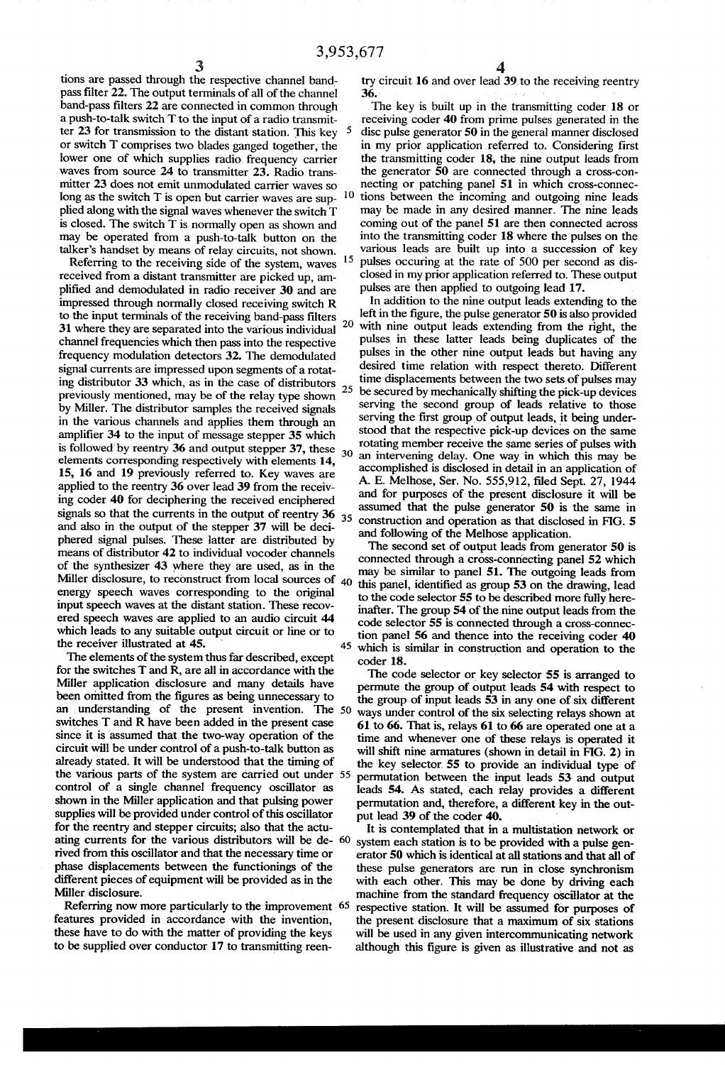$\sqrt{5}$ 

tions are passed through the respective channel band pass filter 22. The output terminals of all of the channel band-pass filters 22 are connected in common through a push-to-talk switch T to the input of a radio transmit ter 23 for transmission to the distant station. This key or switch T comprises two blades ganged together, the lower one of which supplies radio frequency carrier waves from source 24 to transmitter 23. Radio trans mitter 23 does not emit unmodulated carrier waves so<br>long as the suited  $T$  is onen but coming unusual and  $\frac{10}{10}$ long as the switch T is open but carrier waves are sup plied along with the signal waves whenever the switch T is closed. The switch T is normally open as shown and may be operated from a push-to-talk button on the talker's handset by means of relay circuits, not shown.

Referring to the receiving side of the system, waves <sup>15</sup> received from a distant transmitter are picked up, am plified and demodulated in radio receiver 30 and are impressed through normally closed receiving switch R to the input terminals of the receiving band-pass filters  $20$ <br>31 where they are separated into the various individual  $20$ 31 where they are separated into the various individual channel frequencies which then pass into the respective frequency modulation detectors 32. The demodulated signal currents are impressed upon segments of a rotat ing distributor 33 which, as in the case of distributors  $_{25}$ previously mentioned, may be of the relay type shown by Miller. The distributor samples the received signals in the various channels and applies them through an amplifier 34 to the input of message stepper 35 which is followed by reentry 36 and output stepper 37, these  $_{30}$ elements corresponding respectively with elements l4, 15, 16 and 19 previously referred to. Key waves are applied to the reentry 36 over lead 39 from the receiv ing coder 40 for deciphering the received enciphered signals so that the currents in the output of reentry  $36_{35}$ and also in the output of the stepper 37 will be deci phered signal pulses. These latter are distributed by means of distributor 42 to individual vocoder channels of the synthesizer 43 where they are used, as in the Miller disclosure, to reconstruct from local sources of  $40$ energy speech waves corresponding to the original input speech waves at the distant station. These recov ered speech waves are applied to an audio circuit 44 which leads to any suitable output circuit or line or to the receiver illustrated at 45. 45

The elements of the system thus far described, except for the switches T and R, are all in accordance with the Miller application disclosure and many details have been omitted from the figures as being unnecessary to an understanding of the present invention. The 50 switches T and R have been added in the present case since it is assumed that the two-way operation of the circuit will be under control of a push-to-talk button as already stated. It will be understood that the timing of the various parts of the system are carried out under 55 control of a single channel frequency oscillator as shown in the Miller application and that pulsing power supplies will be provided under control of this oscillator for the reentry and stepper circuits; also that the actu ating currents for the various distributors will be de- 60 rived from this oscillator and that the necessary time or phase displacements between the functionings of the different pieces of equipment will be provided as in the Miller disclosure.

Referring now more particularly to the improvement 65 features provided in accordance with the invention, these have to do with the matter of providing the keys to be supplied over conductor 17 to transmitting reen

try circuit  $16$  and over lead  $39$  to the receiving reentry  $36$ .

The key is built up in the transmitting coder 18 or receiving coder 40 from prime pulses generated in the disc pulse generator 50 in the general manner disclosed in my prior application referred to. Considering first the transmitting coder 18, the nine output leads from the generator 50 are connected through a cross-con necting or patching panel 51 in which cross-connections between the incoming and outgoing nine leads may be made in any desired manner. The nine leads coming out of the panel 51 are then connected across into the transmitting coder 18 where the pulses on the various leads are built up into a succession of key pulses occuring at the rate of 500 per second as dis closed in my prior application referred to. These output pulses are then applied to outgoing lead 17.

In addition to the nine output leads extending to the left in the figure, the pulse generator 50 is also provided with nine output leads extending from the right, the pulses in these latter leads being duplicates of the pulses in the other nine output leads but having any desired time relation with respect thereto. Different time displacements between the two sets of pulses may be secured by mechanically shifting the pick-up devices serving the second group of leads relative to those serving the first group of output leads, it being understood that the respective pick-up devices on the same rotating member receive the same series of pulses with an intervening delay. One way in which this may be accomplished is disclosed in detail in an application of A. E. Melhose, Ser. No. 555,912, filed Sept. 27, 1944 and for purposes of the present disclosure it will be assumed that the pulse generator 50 is the same in construction and operation as that disclosed in FIG. 5 and following of the Melhose application.

The second set of output leads from generator 50 is connected through a cross-connecting panel 52 which may be similar to panel 51. The outgoing leads from this panel, identified as group 53 on the drawing, lead to the code selector 55 to be described more fully here inafter. The group 54 of the nine output leads from the code selector 55 is connected through a cross-connec tion panel 56 and thence into the receiving coder 40 which is similar in construction and operation to the coder 18.

The code selector or key selector 55 is arranged to permute the group of output leads 54 with respect to the group of input leads 53 in any one of six different ways under control of the six selecting relays shown at 61 to 66. That is, relays 61 to\_66 are operated one at a time and whenever one of these relays is operated it will shift nine armatures (shown in detail in FIG. 2) in the key selector. 55 to provide an individual type of permutation between the input leads 53- and output leads 54. As stated, each relay provides a different permutation and, therefore, a different key in the out put lead 39 of the coder 40.

It is contemplated that in a multistation network or system each station is to be provided with a pulse gen erator 50 which is identical at all stations and that all of these pulse generators are run in close synchronism with each other. This may be done by driving each machine from the standard frequency oscillator at the respective station. It will be assumed for purposes of the present disclosure that a maximum of six stations will be used in any given intercommunicating network although this figure is given as illustrative and not as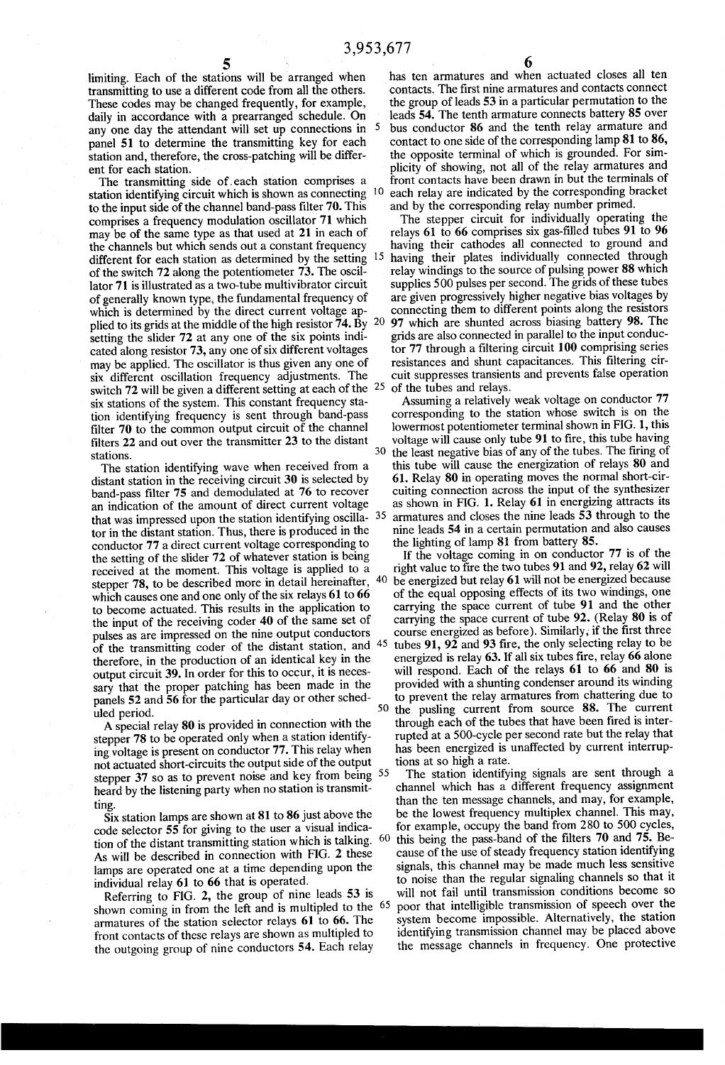limiting. Each of the stations will be arranged when transmitting to use a different code from all the others. These codes may be changed frequently, for example, daily in accordance with a prearranged schedule. On any one day the attendant will set up connections in 5 panel 51 to determine the transmitting key for each station and, therefore, the cross-patching will be different for each station.

The transmitting side of .each station comprises a station identifying circuit which is shown as connecting to the input side of the channel band-pass filter 70. This comprises a frequency modulation oscillator 71 which may be of the same type as that used at 21 in each of the channels but which sends out a constant frequency different for each station as determined by the setting 15 of the switch 72 along the potentiometer 73. The oscil' lator 71 is illustrated as a two-tube multivibrator circuit of generally known type, the fundamental frequency of which is determined by the direct current voltage ap plied to its grids at the middle of the high resistor  $\overline{74}$ . By 20 setting the slider 72 at any one of the six points indi cated along resistor 73, any one of six different voltages may be applied. The oscillator is thus given any one of six different oscillation frequency adjustments. The switch 72 will be given a different setting at each of the  $25$ six stations of the system. This constant frequency sta tion identifying frequency is sent through band-pass filter 70 to the common output circuit of the channel filters 22 and out over the transmitter 23 to the distant stations.

The station identifying wave when received from a distant station in the receiving circuit 30 is selected by band-pass filter 75 and demodulated at 76 to recover an indication of the amount of direct current voltage that was impressed upon the station identifying oscilla- 35 tor in the distant station. Thus, there is produced in the conductor 77 a direct current voltage corresponding to the setting of the slider 72 of whatever station is being received at the moment. This voltage is applied to a stepper 78, to be described more in detail hereinafter, which causes one and one only of the six relays 61 to 66 to become actuated. This results in the application to the input of the receiving coder 40 of the same set of pulses as are impressed on the nine output conductors of the transmitting coder of the distant station, and <sup>45</sup> therefore, in the production of an identical key in the output circuit 39. In order for this to occur, it is neces sary that the proper patching has been made in the panels 52 and 56 for the particular day or other sched uled period.

A special relay 80 is provided in connection with the stepper 78 to be operated only when a station identifying voltage is present on conductor 77. This relay when not actuated short-circuits the output side of the output stepper 37 so as to prevent noise and key from being <sup>55</sup> heard by the listening party when no station is transmit ting.

 $\overline{S}$ ix station lamps are shown at 81 to 86 just above the code selector 55 for giving to the user a visual indica tion of the distant transmitting station which is talking.  $60$ As will be described in connection with FIG. 2 these lamps are operated one at a time depending upon the individual relay 61 to 66 that is operated.

Referring to FIG. 2, the group of nine leads 53 is shown coming in from the left and is multipled to the <sup>65</sup> armatures of the station selector relays 61 to 66. The front contacts of these relays are shown as multipled to the outgoing group of nine conductors 54. Each relay

 $\overline{\phantom{a}}$  6 has ten armatures and when actuated closes all ten contacts. The first nine armatures and contacts connect

the group of leads 53 in a particular permutation to the leads 54. The tenth armature connects battery 85 over bus conductor 86 and the tenth relay armature and contact to one side of the corresponding lamp 81 to 86, the opposite terminal of which is grounded. For sim plicity of showing, not all of the relay armatures and front contacts have been drawn in but the terminals of each relay are indicated by the corresponding bracket and by the corresponding relay number primed.

The stepper circuit for individually operating the relays  $61$  to  $66$  comprises six gas-filled tubes  $91$  to  $96$ having their cathodes all connected to ground and having their plates individually connected through relay windings to the source of pulsing power 88 which supplies 500 pulses per second. The grids of these tubes are given progressively higher negative bias voltages by connecting them to different points along the resistors 97 which are shunted across biasing battery 98. The grids are also connected in parallel to the input conduc tor 77 through a filtering circuit 100 comprising series resistances and shunt capacitances. This filtering circuit suppresses transients and prevents false operation of the tubes and relays.

30 the least negative bias of any of the tubes. The firing of Assuming a relatively weak voltage on conductor 77 corresponding to the station whose switch is on the lowermost potentiometer terminal shown in FIG. 1, this voltage will cause only tube 91 to fire, this tube having this tube will cause the energization of relays 80 and 61. Relay 80 in operating moves the normal short-cir as shown in FIG. 1. Relay 61 in energizing attracts its armatures and closes the nine leads 53 through to the nine leads 54 in a certain permutation and also causes the lighting of lamp 81 from battery 85.

If the voltage coming in on conductor 77 is of the right value to fire the two tubes  $91$  and  $92$ , relay 62 will be energized but relay 61 will not be energized because of the equal opposing effects of its two windings, one carrying the space current of tube 91 and the other carrying the space current of tube 92. (Relay 80 is of course energized as before). Similarly, if the first three tubes  $91, 92$  and  $93$  fire, the only selecting relay to be energized is relay  $63$ . If all six tubes fire, relay  $66$  alone will respond. Each of the relays 61 to 66 and 80 is provided with a shunting condenser around its winding to prevent the relay armatures from chattering due to the pusling current from source 88. The current 50 through each of the tubes that have been fired is interrupted at a 500—cycle per second rate but the relay that has been energized is unaffected by current interrup tions at so high a rate.

The station identifying signals are sent through a channel which has a different frequency assignment than the ten message channels, and may, for example, be the lowest frequency multiplex channel. This may, for example, occupy the band from 280 to 500 cycles, this being the pass-band of the filters  $70$  and  $75$ . Because of the use of steady frequency station identifying signals, this channel may be made much less sensitive to noise than the regular signaling channels so that it will not fail until transmission conditions become so poor that intelligible transmission of speech over the system become impossible. Alternatively, the station identifying transmission channel may be placed above the message channels in frequency. One protective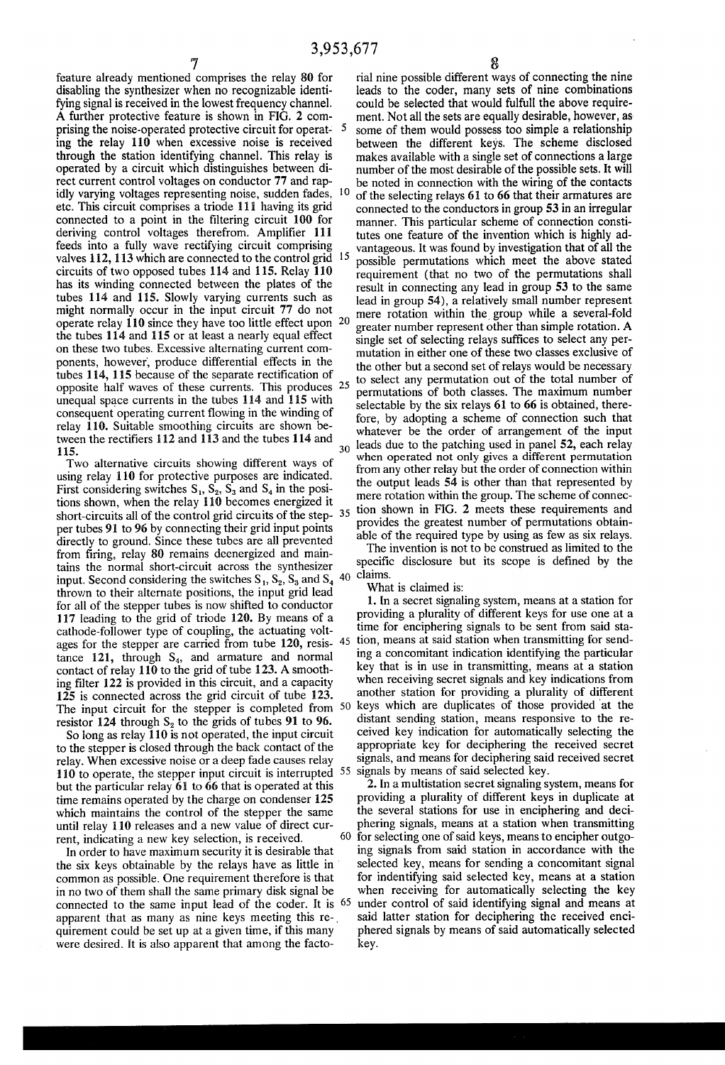feature already mentioned comprises the relay 80 for disabling the synthesizer when no recognizable identi fying signal is received in the lowest frequency channel. A further protective feature is shown in FIG. 2 com prising the noise-operated protective circuit for operat- 5 ing the relay 110 when excessive noise is received through the station identifying channel. This relay is operated by a circuit which distinguishes between di rect current control voltages on conductor 77 and rap idly varying voltages representing noise, sudden fades, etc. This circuit comprises a triode 111 having its grid connected to a point in the filtering circuit 100 for deriving control voltages therefrom. Amplifier 111 feeds into a fully wave rectifying circuit comprising valves 112, 113 which are connected to the control grid 15 circuits of two opposed tubes 114 and 115. Relay 110 has its winding connected between the plates of the tubes 114 and 115. Slowly varying currents such as might normally occur in the input circuit 77 do not operate relay 110 since they have too little effect upon 20 the tubes 114 and 115 or at least a nearly equal effect on these two tubes. Excessive alternating current com ponents, however, produce differential effects in the tubes 114, 115 because of the separate rectification of opposite half waves of these currents. This produces 25 unequal space currents in the tubes 114 and 115 with consequent operating current flowing in the winding of relay 110. Suitable smoothing circuits are shown be tween the rectifiers  $112$  and  $113$  and the tubes  $114$  and 115.  $30$ 

Two alternative circuits showing different ways of using relay 110 for protective purposes are indicated. First considering switches  $S_1$ ,  $S_2$ ,  $S_3$  and  $S_4$  in the positions shown, when the relay 110 becomes energized it short-circuits all of the control grid circuits of the step- 35 per tubes 91 to 96 by connecting their grid input points directly to ground. Since these tubes are all prevented from firing, relay 80 remains deenergized and maintains the normal short-circuit across the synthesizer input. Second considering the switches  $S_1$ ,  $S_2$ ,  $S_3$  and  $S_4$  <sup>40</sup> <sup>Claims.</sup> thrown to their alternate positions, the input grid lead for all of the stepper tubes is now shifted to conductor 117 leading to the grid of triode 120. By means of a cathode-follower type of coupling, the actuating volt ages for the stepper are carried from tube  $120$ , resis-  $45$ tance  $121$ , through  $S_4$ , and armature and normal contact of relay 110 to the grid of tube 123. A smooth ing filter 122 is provided in this circuit, and a capacity 125 is connected across the grid circuit of tube 123. The input circuit for the stepper is completed from 50 resistor 124 through  $S_2$  to the grids of tubes 91 to 96.

So long as relay 110 is not operated, the input circuit to the stepper is closed through the back contact of the relay. When excessive noise or a deep fade causes relay 110 to operate, the stepper input circuit is interrupted 55 signals by means of said selected key. but the particular relay 61 to 66 that is operated at this time remains operated by the charge on condenser 125 which maintains the control of the stepper the same until relay 110 releases and a new value of direct cur rent, indicating a new key selection, is received.

In order to have maximum security it is desirable that the six keys obtainable by the relays have as little in ' common as possible. One requirement therefore is that in no two of them shall the same primary disk signal be connected to the same input lead of the coder. It is apparent that as many as nine keys meeting this requirement could be set up at a given time, if this many were desired. It is also apparent that among the facto

rial nine possible different ways of connecting the nine leads to the coder, many sets of nine combinations could be selected that would fulfull the above require ment. Not all the sets are equally desirable, however, as some of them would possess too simple a relationship between the different keys. The scheme disclosed makes available with a single set of connections a large number of the most desirable of the possible sets. It will be noted in connection with the wiring of the contacts of the selecting relays 61 to 66 that their armatures are connected to the conductors in group 53 in an irregular manner. This particular scheme of connection consti tutes one feature of the invention which is highly ad vantageous. It was found by investigation that of all the possible permutations which meet the above stated requirement (that no two of the permutations shall result in connecting any lead in group 53 to the same lead in group 54), a relatively small number represent mere rotation within the group while a several-fold greater number represent other than simple rotation. A single set of selecting relays suffices to select any permutation in either one of these two classes exclusive of the other but a second set of relays would be necessary to select any permutation out of the total number of permutations of both classes. The maximum number selectable by the six relays 61 to 66 is obtained, there fore, by adopting a scheme of connection such that whatever be the order of arrangement of the input leads due to the patching used in panel 52, each relay when operated not only gives a different permutation from any other relay but the order of connection within the output leads 54 is other than that represented by mere rotation within the group. The scheme of connec tion shown in FIG. 2 meets these requirements and provides the greatest number of permutations obtain able of the required type by using as few as six relays.

The invention is not to be construed as limited to the specific disclosure but its scope is defined by the

What is claimed is:

1. In a secret signaling system, means at a station for providing a plurality of different keys for use one at a time for enciphering signals to be sent from said sta tion, means at said station when transmitting for send ing a concomitant indication identifying the particular key that is in use in transmitting, means at a station when receiving secret signals and key indications from another station for providing a plurality of different keys which are duplicates of those provided at the distant sending station, means responsive to the re ceived key indication for automatically selecting the appropriate key for deciphering the received secret signals, and means for deciphering said received secret

60 2. In a multistation secret signaling system, means for providing a plurality of different keys in duplicate at the several stations for use in enciphering and deci phering signals, means at a station when transmitting for selecting one of said keys, means to encipher outgo ing signals from said station in accordance with the selected key, means for sending a concomitant signal for indentifying said selected key, means at a station when receiving for automatically selecting the key under control of said identifying signal and means at said latter station for deciphering the received enci phered signals by means of said automatically selected key.